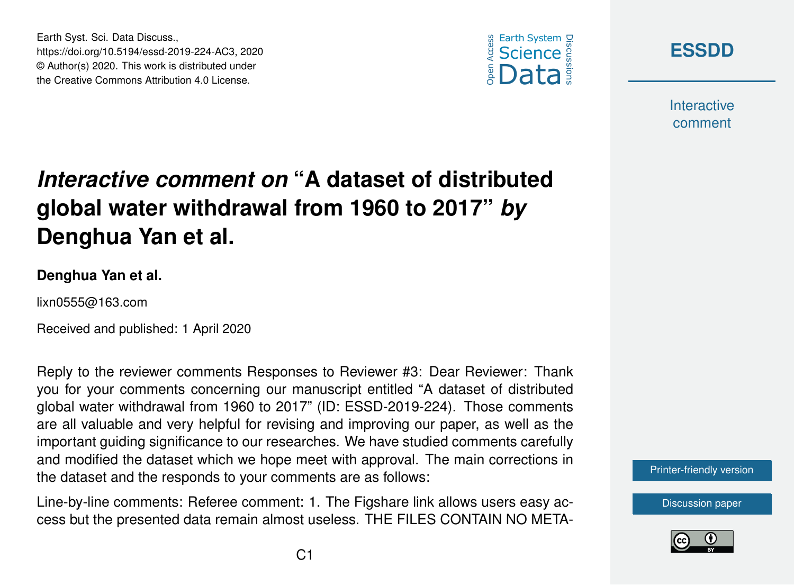





**Interactive** comment

# *Interactive comment on* **"A dataset of distributed global water withdrawal from 1960 to 2017"** *by* **Denghua Yan et al.**

#### **Denghua Yan et al.**

lixn0555@163.com

Received and published: 1 April 2020

Reply to the reviewer comments Responses to Reviewer #3: Dear Reviewer: Thank you for your comments concerning our manuscript entitled "A dataset of distributed global water withdrawal from 1960 to 2017" (ID: ESSD-2019-224). Those comments are all valuable and very helpful for revising and improving our paper, as well as the important guiding significance to our researches. We have studied comments carefully and modified the dataset which we hope meet with approval. The main corrections in the dataset and the responds to your comments are as follows:

Line-by-line comments: Referee comment: 1. The Figshare link allows users easy access but the presented data remain almost useless. THE FILES CONTAIN NO META-



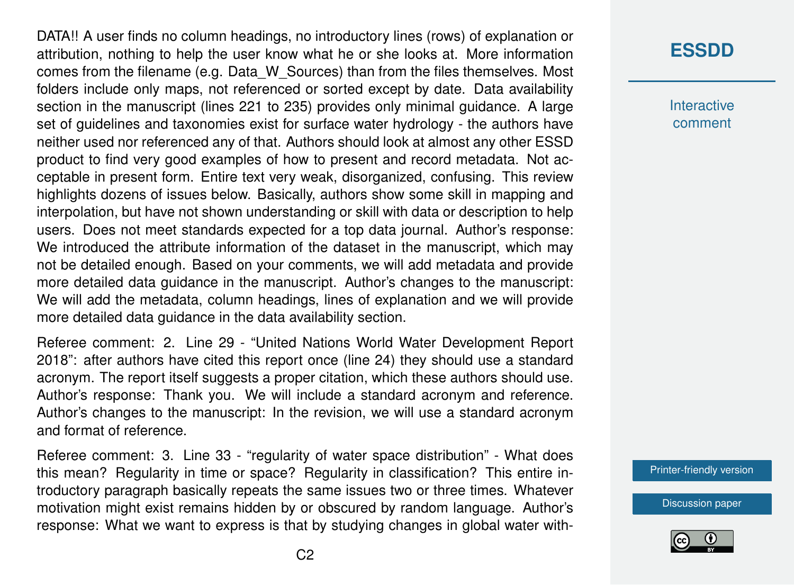DATA!! A user finds no column headings, no introductory lines (rows) of explanation or attribution, nothing to help the user know what he or she looks at. More information comes from the filename (e.g. Data\_W\_Sources) than from the files themselves. Most folders include only maps, not referenced or sorted except by date. Data availability section in the manuscript (lines 221 to 235) provides only minimal guidance. A large set of guidelines and taxonomies exist for surface water hydrology - the authors have neither used nor referenced any of that. Authors should look at almost any other ESSD product to find very good examples of how to present and record metadata. Not acceptable in present form. Entire text very weak, disorganized, confusing. This review highlights dozens of issues below. Basically, authors show some skill in mapping and interpolation, but have not shown understanding or skill with data or description to help users. Does not meet standards expected for a top data journal. Author's response: We introduced the attribute information of the dataset in the manuscript, which may not be detailed enough. Based on your comments, we will add metadata and provide more detailed data guidance in the manuscript. Author's changes to the manuscript: We will add the metadata, column headings, lines of explanation and we will provide more detailed data guidance in the data availability section.

Referee comment: 2. Line 29 - "United Nations World Water Development Report 2018": after authors have cited this report once (line 24) they should use a standard acronym. The report itself suggests a proper citation, which these authors should use. Author's response: Thank you. We will include a standard acronym and reference. Author's changes to the manuscript: In the revision, we will use a standard acronym and format of reference.

Referee comment: 3. Line 33 - "regularity of water space distribution" - What does this mean? Regularity in time or space? Regularity in classification? This entire introductory paragraph basically repeats the same issues two or three times. Whatever motivation might exist remains hidden by or obscured by random language. Author's response: What we want to express is that by studying changes in global water with-

### **[ESSDD](https://www.earth-syst-sci-data-discuss.net/)**

**Interactive** comment

[Printer-friendly version](https://www.earth-syst-sci-data-discuss.net/essd-2019-224/essd-2019-224-AC3-print.pdf)

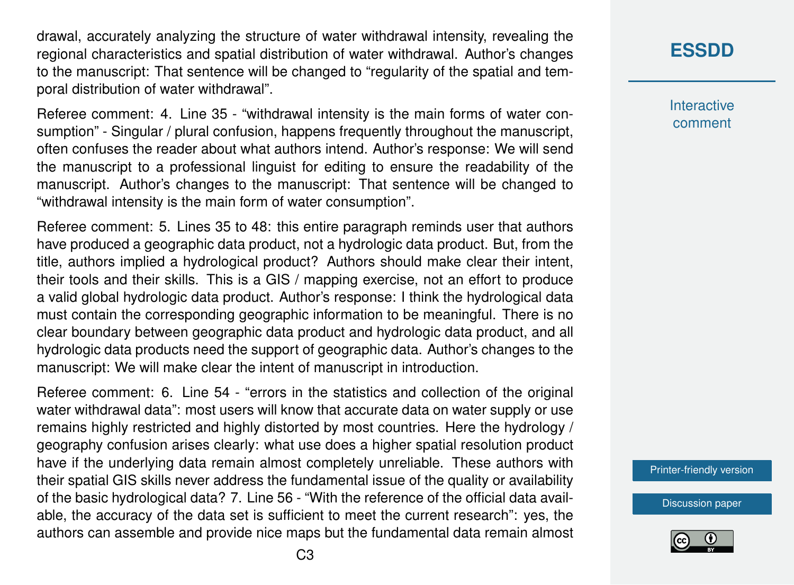drawal, accurately analyzing the structure of water withdrawal intensity, revealing the regional characteristics and spatial distribution of water withdrawal. Author's changes to the manuscript: That sentence will be changed to "regularity of the spatial and temporal distribution of water withdrawal".

Referee comment: 4. Line 35 - "withdrawal intensity is the main forms of water consumption" - Singular / plural confusion, happens frequently throughout the manuscript, often confuses the reader about what authors intend. Author's response: We will send the manuscript to a professional linguist for editing to ensure the readability of the manuscript. Author's changes to the manuscript: That sentence will be changed to "withdrawal intensity is the main form of water consumption".

Referee comment: 5. Lines 35 to 48: this entire paragraph reminds user that authors have produced a geographic data product, not a hydrologic data product. But, from the title, authors implied a hydrological product? Authors should make clear their intent, their tools and their skills. This is a GIS / mapping exercise, not an effort to produce a valid global hydrologic data product. Author's response: I think the hydrological data must contain the corresponding geographic information to be meaningful. There is no clear boundary between geographic data product and hydrologic data product, and all hydrologic data products need the support of geographic data. Author's changes to the manuscript: We will make clear the intent of manuscript in introduction.

Referee comment: 6. Line 54 - "errors in the statistics and collection of the original water withdrawal data": most users will know that accurate data on water supply or use remains highly restricted and highly distorted by most countries. Here the hydrology / geography confusion arises clearly: what use does a higher spatial resolution product have if the underlying data remain almost completely unreliable. These authors with their spatial GIS skills never address the fundamental issue of the quality or availability of the basic hydrological data? 7. Line 56 - "With the reference of the official data available, the accuracy of the data set is sufficient to meet the current research": yes, the authors can assemble and provide nice maps but the fundamental data remain almost **Interactive** comment

[Printer-friendly version](https://www.earth-syst-sci-data-discuss.net/essd-2019-224/essd-2019-224-AC3-print.pdf)

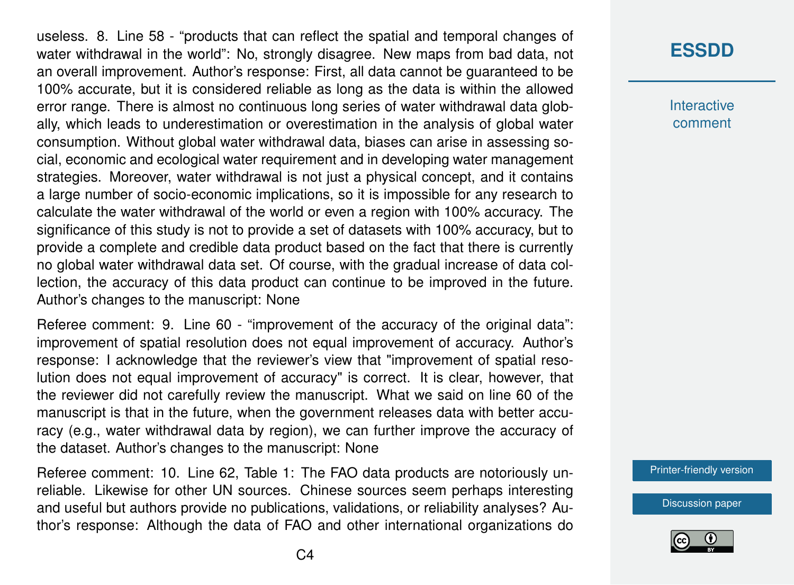useless. 8. Line 58 - "products that can reflect the spatial and temporal changes of water withdrawal in the world": No, strongly disagree. New maps from bad data, not an overall improvement. Author's response: First, all data cannot be guaranteed to be 100% accurate, but it is considered reliable as long as the data is within the allowed error range. There is almost no continuous long series of water withdrawal data globally, which leads to underestimation or overestimation in the analysis of global water consumption. Without global water withdrawal data, biases can arise in assessing social, economic and ecological water requirement and in developing water management strategies. Moreover, water withdrawal is not just a physical concept, and it contains a large number of socio-economic implications, so it is impossible for any research to calculate the water withdrawal of the world or even a region with 100% accuracy. The significance of this study is not to provide a set of datasets with 100% accuracy, but to provide a complete and credible data product based on the fact that there is currently no global water withdrawal data set. Of course, with the gradual increase of data collection, the accuracy of this data product can continue to be improved in the future. Author's changes to the manuscript: None

Referee comment: 9. Line 60 - "improvement of the accuracy of the original data": improvement of spatial resolution does not equal improvement of accuracy. Author's response: I acknowledge that the reviewer's view that "improvement of spatial resolution does not equal improvement of accuracy" is correct. It is clear, however, that the reviewer did not carefully review the manuscript. What we said on line 60 of the manuscript is that in the future, when the government releases data with better accuracy (e.g., water withdrawal data by region), we can further improve the accuracy of the dataset. Author's changes to the manuscript: None

Referee comment: 10. Line 62, Table 1: The FAO data products are notoriously unreliable. Likewise for other UN sources. Chinese sources seem perhaps interesting and useful but authors provide no publications, validations, or reliability analyses? Author's response: Although the data of FAO and other international organizations do

### **[ESSDD](https://www.earth-syst-sci-data-discuss.net/)**

**Interactive** comment

[Printer-friendly version](https://www.earth-syst-sci-data-discuss.net/essd-2019-224/essd-2019-224-AC3-print.pdf)

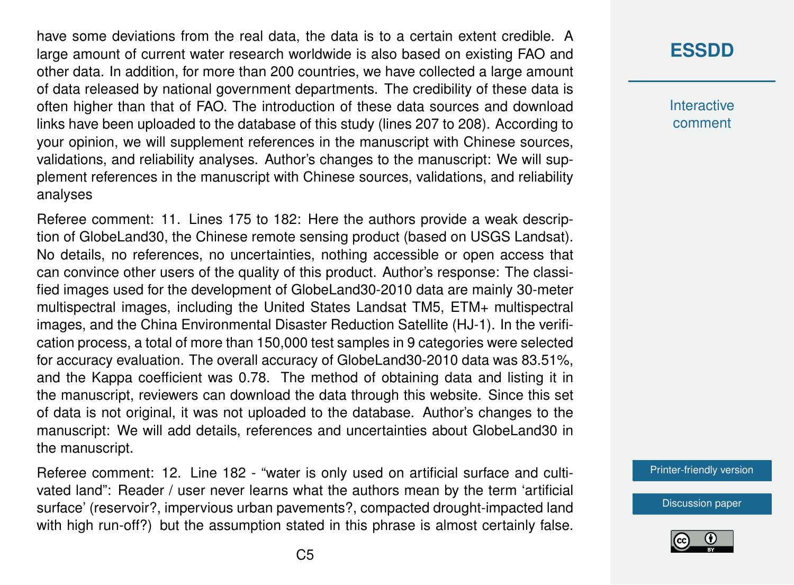have some deviations from the real data, the data is to a certain extent credible. A large amount of current water research worldwide is also based on existing FAO and other data. In addition, for more than 200 countries, we have collected a large amount of data released by national government departments. The credibility of these data is often higher than that of FAO. The introduction of these data sources and download links have been uploaded to the database of this study (lines 207 to 208). According to your opinion, we will supplement references in the manuscript with Chinese sources, validations, and reliability analyses. Author's changes to the manuscript: We will supplement references in the manuscript with Chinese sources, validations, and reliability analyses

Referee comment: 11. Lines 175 to 182: Here the authors provide a weak description of GlobeLand30, the Chinese remote sensing product (based on USGS Landsat). No details, no references, no uncertainties, nothing accessible or open access that can convince other users of the quality of this product. Author's response: The classified images used for the development of GlobeLand30-2010 data are mainly 30-meter multispectral images, including the United States Landsat TM5, ETM+ multispectral images, and the China Environmental Disaster Reduction Satellite (HJ-1). In the verification process, a total of more than 150,000 test samples in 9 categories were selected for accuracy evaluation. The overall accuracy of GlobeLand30-2010 data was 83.51%, and the Kappa coefficient was 0.78. The method of obtaining data and listing it in the manuscript, reviewers can download the data through this website. Since this set of data is not original, it was not uploaded to the database. Author's changes to the manuscript: We will add details, references and uncertainties about GlobeLand30 in the manuscript.

Referee comment: 12. Line 182 - "water is only used on artificial surface and cultivated land": Reader / user never learns what the authors mean by the term 'artificial surface' (reservoir?, impervious urban pavements?, compacted drought-impacted land with high run-off?) but the assumption stated in this phrase is almost certainly false.

# **[ESSDD](https://www.earth-syst-sci-data-discuss.net/)**

**Interactive** comment

[Printer-friendly version](https://www.earth-syst-sci-data-discuss.net/essd-2019-224/essd-2019-224-AC3-print.pdf)

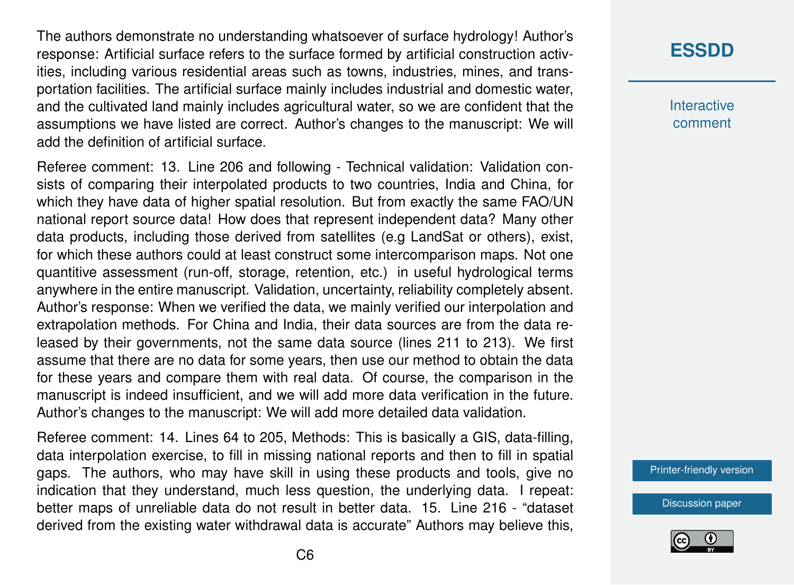The authors demonstrate no understanding whatsoever of surface hydrology! Author's response: Artificial surface refers to the surface formed by artificial construction activities, including various residential areas such as towns, industries, mines, and transportation facilities. The artificial surface mainly includes industrial and domestic water, and the cultivated land mainly includes agricultural water, so we are confident that the assumptions we have listed are correct. Author's changes to the manuscript: We will add the definition of artificial surface.

Referee comment: 13. Line 206 and following - Technical validation: Validation consists of comparing their interpolated products to two countries, India and China, for which they have data of higher spatial resolution. But from exactly the same FAO/UN national report source data! How does that represent independent data? Many other data products, including those derived from satellites (e.g LandSat or others), exist, for which these authors could at least construct some intercomparison maps. Not one quantitive assessment (run-off, storage, retention, etc.) in useful hydrological terms anywhere in the entire manuscript. Validation, uncertainty, reliability completely absent. Author's response: When we verified the data, we mainly verified our interpolation and extrapolation methods. For China and India, their data sources are from the data released by their governments, not the same data source (lines 211 to 213). We first assume that there are no data for some years, then use our method to obtain the data for these years and compare them with real data. Of course, the comparison in the manuscript is indeed insufficient, and we will add more data verification in the future. Author's changes to the manuscript: We will add more detailed data validation.

Referee comment: 14. Lines 64 to 205, Methods: This is basically a GIS, data-filling, data interpolation exercise, to fill in missing national reports and then to fill in spatial gaps. The authors, who may have skill in using these products and tools, give no indication that they understand, much less question, the underlying data. I repeat: better maps of unreliable data do not result in better data. 15. Line 216 - "dataset derived from the existing water withdrawal data is accurate" Authors may believe this,

## **[ESSDD](https://www.earth-syst-sci-data-discuss.net/)**

**Interactive** comment

[Printer-friendly version](https://www.earth-syst-sci-data-discuss.net/essd-2019-224/essd-2019-224-AC3-print.pdf)